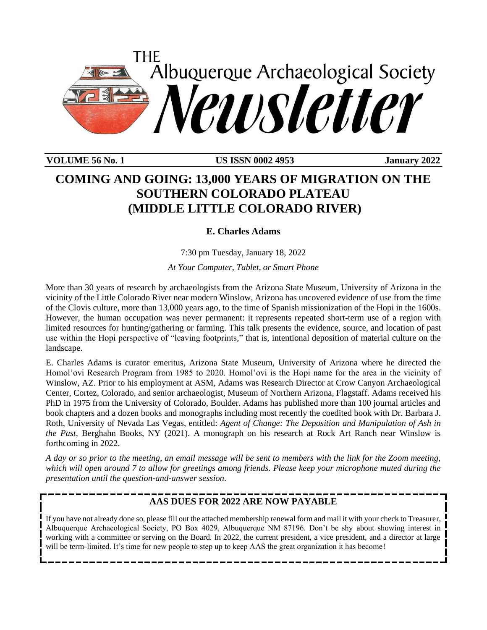

**VOLUME 56 No. 1 US ISSN 0002 4953 January 2022**

# **COMING AND GOING: 13,000 YEARS OF MIGRATION ON THE SOUTHERN COLORADO PLATEAU (MIDDLE LITTLE COLORADO RIVER)**

**E. Charles Adams**

7:30 pm Tuesday, January 18, 2022

*At Your Computer, Tablet, or Smart Phone*

More than 30 years of research by archaeologists from the Arizona State Museum, University of Arizona in the vicinity of the Little Colorado River near modern Winslow, Arizona has uncovered evidence of use from the time of the Clovis culture, more than 13,000 years ago, to the time of Spanish missionization of the Hopi in the 1600s. However, the human occupation was never permanent: it represents repeated short-term use of a region with limited resources for hunting/gathering or farming. This talk presents the evidence, source, and location of past use within the Hopi perspective of "leaving footprints," that is, intentional deposition of material culture on the landscape.

E. Charles Adams is curator emeritus, Arizona State Museum, University of Arizona where he directed the Homol'ovi Research Program from 1985 to 2020. Homol'ovi is the Hopi name for the area in the vicinity of Winslow, AZ. Prior to his employment at ASM, Adams was Research Director at Crow Canyon Archaeological Center, Cortez, Colorado, and senior archaeologist, Museum of Northern Arizona, Flagstaff. Adams received his PhD in 1975 from the University of Colorado, Boulder. Adams has published more than 100 journal articles and book chapters and a dozen books and monographs including most recently the coedited book with Dr. Barbara J. Roth, University of Nevada Las Vegas, entitled: *Agent of Change: The Deposition and Manipulation of Ash in the Past,* Berghahn Books, NY (2021). A monograph on his research at Rock Art Ranch near Winslow is forthcoming in 2022.

*A day or so prior to the meeting, an email message will be sent to members with the link for the Zoom meeting, which will open around 7 to allow for greetings among friends. Please keep your microphone muted during the presentation until the question-and-answer session*.

### **AAS DUES FOR 2022 ARE NOW PAYABLE**

If you have not already done so, please fill out the attached membership renewal form and mail it with your check to Treasurer, Albuquerque Archaeological Society, PO Box 4029, Albuquerque NM 87196. Don't be shy about showing interest in working with a committee or serving on the Board. In 2022, the current president, a vice president, and a director at large will be term-limited. It's time for new people to step up to keep AAS the great organization it has become!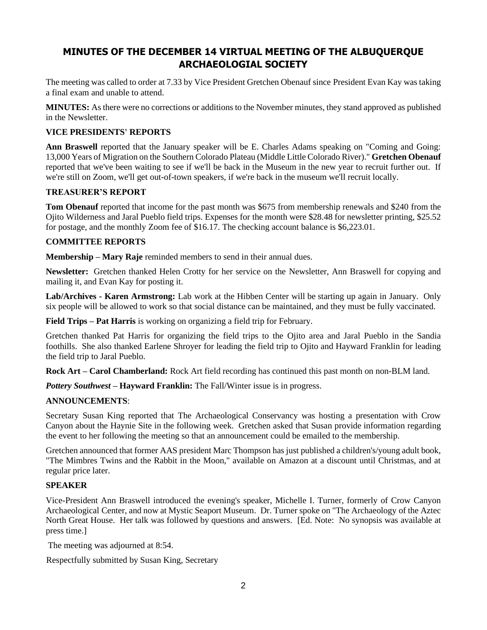# **MINUTES OF THE DECEMBER 14 VIRTUAL MEETING OF THE ALBUQUERQUE ARCHAEOLOGIAL SOCIETY**

The meeting was called to order at 7.33 by Vice President Gretchen Obenauf since President Evan Kay was taking a final exam and unable to attend.

**MINUTES:** As there were no corrections or additions to the November minutes, they stand approved as published in the Newsletter.

### **VICE PRESIDENTS' REPORTS**

**Ann Braswell** reported that the January speaker will be E. Charles Adams speaking on "Coming and Going: 13,000 Years of Migration on the Southern Colorado Plateau (Middle Little Colorado River)." **Gretchen Obenauf**  reported that we've been waiting to see if we'll be back in the Museum in the new year to recruit further out. If we're still on Zoom, we'll get out-of-town speakers, if we're back in the museum we'll recruit locally.

### **TREASURER'S REPORT**

**Tom Obenauf** reported that income for the past month was \$675 from membership renewals and \$240 from the Ojito Wilderness and Jaral Pueblo field trips. Expenses for the month were \$28.48 for newsletter printing, \$25.52 for postage, and the monthly Zoom fee of \$16.17. The checking account balance is \$6,223.01.

#### **COMMITTEE REPORTS**

**Membership** – **Mary Raje** reminded members to send in their annual dues.

**Newsletter:** Gretchen thanked Helen Crotty for her service on the Newsletter, Ann Braswell for copying and mailing it, and Evan Kay for posting it.

**Lab/Archives - Karen Armstrong:** Lab work at the Hibben Center will be starting up again in January. Only six people will be allowed to work so that social distance can be maintained, and they must be fully vaccinated*.*

**Field Trips – Pat Harris** is working on organizing a field trip for February.

Gretchen thanked Pat Harris for organizing the field trips to the Ojito area and Jaral Pueblo in the Sandia foothills. She also thanked Earlene Shroyer for leading the field trip to Ojito and Hayward Franklin for leading the field trip to Jaral Pueblo.

**Rock Art – Carol Chamberland:** Rock Art field recording has continued this past month on non-BLM land.

*Pottery Southwest –* **Hayward Franklin:** The Fall/Winter issue is in progress.

### **ANNOUNCEMENTS**:

Secretary Susan King reported that The Archaeological Conservancy was hosting a presentation with Crow Canyon about the Haynie Site in the following week. Gretchen asked that Susan provide information regarding the event to her following the meeting so that an announcement could be emailed to the membership.

Gretchen announced that former AAS president Marc Thompson has just published a children's/young adult book, "The Mimbres Twins and the Rabbit in the Moon," available on Amazon at a discount until Christmas, and at regular price later.

### **SPEAKER**

Vice-President Ann Braswell introduced the evening's speaker, Michelle I. Turner, formerly of Crow Canyon Archaeological Center, and now at Mystic Seaport Museum. Dr. Turner spoke on "The Archaeology of the Aztec North Great House. Her talk was followed by questions and answers. [Ed. Note: No synopsis was available at press time.]

The meeting was adjourned at 8:54.

Respectfully submitted by Susan King, Secretary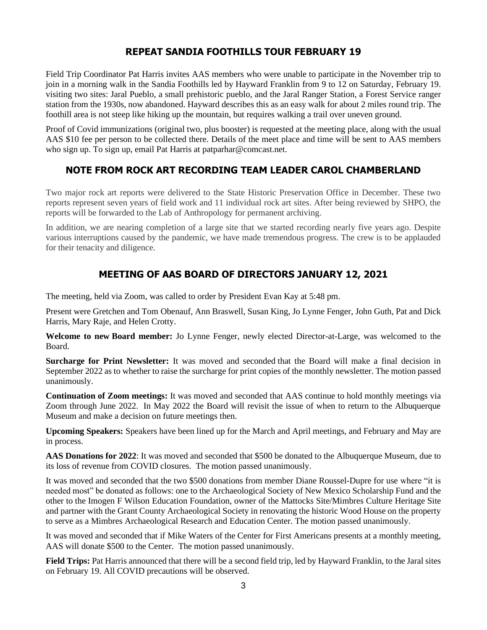### **REPEAT SANDIA FOOTHILLS TOUR FEBRUARY 19**

Field Trip Coordinator Pat Harris invites AAS members who were unable to participate in the November trip to join in a morning walk in the Sandia Foothills led by Hayward Franklin from 9 to 12 on Saturday, February 19. visiting two sites: Jaral Pueblo, a small prehistoric pueblo, and the Jaral Ranger Station, a Forest Service ranger station from the 1930s, now abandoned. Hayward describes this as an easy walk for about 2 miles round trip. The foothill area is not steep like hiking up the mountain, but requires walking a trail over uneven ground.

Proof of Covid immunizations (original two, plus booster) is requested at the meeting place, along with the usual AAS \$10 fee per person to be collected there. Details of the meet place and time will be sent to AAS members who sign up. To sign up, email Pat Harris at [patparhar@comcast.net.](mailto:patparhar@comcast.net)

### **NOTE FROM ROCK ART RECORDING TEAM LEADER CAROL CHAMBERLAND**

Two major rock art reports were delivered to the State Historic Preservation Office in December. These two reports represent seven years of field work and 11 individual rock art sites. After being reviewed by SHPO, the reports will be forwarded to the Lab of Anthropology for permanent archiving.

In addition, we are nearing completion of a large site that we started recording nearly five years ago. Despite various interruptions caused by the pandemic, we have made tremendous progress. The crew is to be applauded for their tenacity and diligence.

### **MEETING OF AAS BOARD OF DIRECTORS JANUARY 12, 2021**

The meeting, held via Zoom, was called to order by President Evan Kay at 5:48 pm.

Present were Gretchen and Tom Obenauf, Ann Braswell, Susan King, Jo Lynne Fenger, John Guth, Pat and Dick Harris, Mary Raje, and Helen Crotty.

**Welcome to new Board member:** Jo Lynne Fenger, newly elected Director-at-Large, was welcomed to the Board.

**Surcharge for Print Newsletter:** It was moved and seconded that the Board will make a final decision in September 2022 as to whether to raise the surcharge for print copies of the monthly newsletter. The motion passed unanimously.

**Continuation of Zoom meetings:** It was moved and seconded that AAS continue to hold monthly meetings via Zoom through June 2022. In May 2022 the Board will revisit the issue of when to return to the Albuquerque Museum and make a decision on future meetings then.

**Upcoming Speakers:** Speakers have been lined up for the March and April meetings, and February and May are in process.

**AAS Donations for 2022**: It was moved and seconded that \$500 be donated to the Albuquerque Museum, due to its loss of revenue from COVID closures*.* The motion passed unanimously.

It was moved and seconded that the two \$500 donations from member Diane Roussel-Dupre for use where "it is needed most" be donated as follows: one to the Archaeological Society of New Mexico Scholarship Fund and the other to the Imogen F Wilson Education Foundation, owner of the Mattocks Site/Mimbres Culture Heritage Site and partner with the Grant County Archaeological Society in renovating the historic Wood House on the property to serve as a Mimbres Archaeological Research and Education Center. The motion passed unanimously.

It was moved and seconded that if Mike Waters of the Center for First Americans presents at a monthly meeting, AAS will donate \$500 to the Center. The motion passed unanimously.

**Field Trips:** Pat Harris announced that there will be a second field trip, led by Hayward Franklin, to the Jaral sites on February 19. All COVID precautions will be observed.